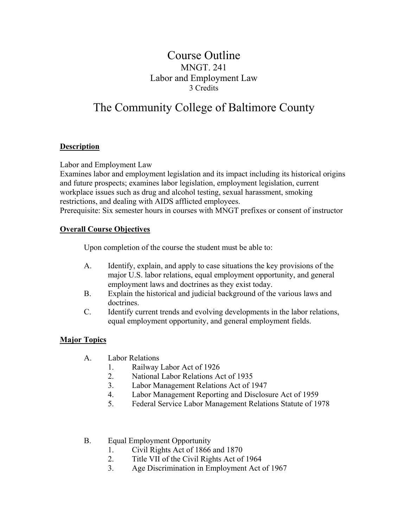## Course Outline MNGT. 241 Labor and Employment Law 3 Credits

# The Community College of Baltimore County

#### **Description**

Labor and Employment Law

Examines labor and employment legislation and its impact including its historical origins and future prospects; examines labor legislation, employment legislation, current workplace issues such as drug and alcohol testing, sexual harassment, smoking restrictions, and dealing with AIDS afflicted employees. Prerequisite: Six semester hours in courses with MNGT prefixes or consent of instructor

#### **Overall Course Objectives**

Upon completion of the course the student must be able to:

- A. Identify, explain, and apply to case situations the key provisions of the major U.S. labor relations, equal employment opportunity, and general employment laws and doctrines as they exist today.
- B. Explain the historical and judicial background of the various laws and doctrines.
- C. Identify current trends and evolving developments in the labor relations, equal employment opportunity, and general employment fields.

### **Major Topics**

- A. Labor Relations
	- 1. Railway Labor Act of 1926
	- 2. National Labor Relations Act of 1935
	- 3. Labor Management Relations Act of 1947
	- 4. Labor Management Reporting and Disclosure Act of 1959
	- 5. Federal Service Labor Management Relations Statute of 1978

#### B. Equal Employment Opportunity

- 1. Civil Rights Act of 1866 and 1870
- 2. Title VII of the Civil Rights Act of 1964
- 3. Age Discrimination in Employment Act of 1967